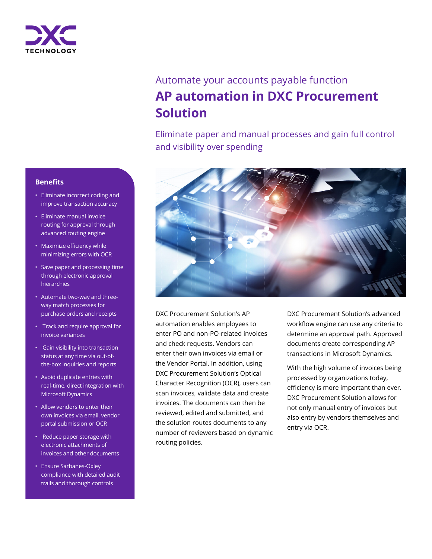

# Automate your accounts payable function **AP automation in DXC Procurement Solution**

Eliminate paper and manual processes and gain full control and visibility over spending



DXC Procurement Solution's AP automation enables employees to enter PO and non-PO-related invoices and check requests. Vendors can enter their own invoices via email or the Vendor Portal. In addition, using DXC Procurement Solution's Optical Character Recognition (OCR), users can scan invoices, validate data and create invoices. The documents can then be reviewed, edited and submitted, and the solution routes documents to any number of reviewers based on dynamic routing policies.

DXC Procurement Solution's advanced workflow engine can use any criteria to determine an approval path. Approved documents create corresponding AP transactions in Microsoft Dynamics.

With the high volume of invoices being processed by organizations today, efficiency is more important than ever. DXC Procurement Solution allows for not only manual entry of invoices but also entry by vendors themselves and entry via OCR.

### **Benefits**

- Eliminate incorrect coding and improve transaction accuracy
- Eliminate manual invoice routing for approval through advanced routing engine
- Maximize efficiency while minimizing errors with OCR
- Save paper and processing time through electronic approval hierarchies
- Automate two-way and threeway match processes for purchase orders and receipts
- Track and require approval for invoice variances
- Gain visibility into transaction status at any time via out-ofthe-box inquiries and reports
- Avoid duplicate entries with real-time, direct integration with Microsoft Dynamics
- Allow vendors to enter their own invoices via email, vendor portal submission or OCR
- Reduce paper storage with electronic attachments of invoices and other documents
- Ensure Sarbanes-Oxley compliance with detailed audit trails and thorough controls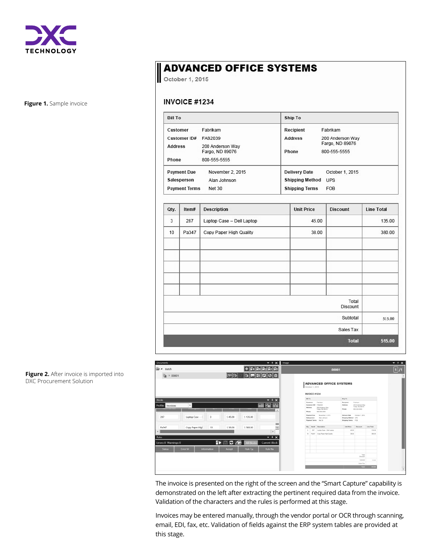

**Figure 1.** Sample invoice

# **ADVANCED OFFICE SYSTEMS**

October 1, 2015

#### **INVOICE #1234**

| <b>Bill To</b>                        |                                     | Ship To                |                                 |  |  |  |
|---------------------------------------|-------------------------------------|------------------------|---------------------------------|--|--|--|
| Customer                              | Fabrikam                            | Recipient              | Fabrikam                        |  |  |  |
| Customer ID#                          | FAB2039                             | <b>Address</b>         | 200 Anderson Way                |  |  |  |
| <b>Address</b>                        | 200 Anderson Way<br>Fargo, ND 89076 | Phone                  | Fargo, ND 89076<br>800-555-5555 |  |  |  |
| Phone                                 | 800-555-5555                        |                        |                                 |  |  |  |
| <b>Payment Due</b>                    | November 2, 2015                    | <b>Delivery Date</b>   | October 1, 2015                 |  |  |  |
| Salesperson                           | Alan Johnson                        | <b>Shipping Method</b> | <b>UPS</b>                      |  |  |  |
| <b>Net 30</b><br><b>Payment Terms</b> |                                     | <b>Shipping Terms</b>  | <b>FOB</b>                      |  |  |  |

| <b>Line Total</b> | <b>Discount</b>   | <b>Unit Price</b> | <b>Description</b>        | Item# | Qty. |
|-------------------|-------------------|-------------------|---------------------------|-------|------|
| 135.00            |                   | 45.00             | Laptop Case - Dell Laptop | 287   | 3    |
| 380.00            |                   | 38.00             | Copy Paper High Quality   | Pa347 | 10   |
|                   |                   |                   |                           |       |      |
|                   |                   |                   |                           |       |      |
|                   | Total<br>Discount |                   |                           |       |      |
| 515.00            | Subtotal          |                   |                           |       |      |
|                   | Sales Tax         |                   |                           |       |      |
| 515.00            | <b>Total</b>      |                   |                           |       |      |

| <b>Documents</b>                                                                    |                 |                      |                   | $-7$                 | Image          |                                     |                                                                            |                                                            |                                                                 |            | $- + x$              |
|-------------------------------------------------------------------------------------|-----------------|----------------------|-------------------|----------------------|----------------|-------------------------------------|----------------------------------------------------------------------------|------------------------------------------------------------|-----------------------------------------------------------------|------------|----------------------|
| $\mathbb{P}$<br>Batch                                                               | <b>Ta To To</b> |                      |                   |                      | 00001          |                                     |                                                                            |                                                            |                                                                 |            | п<br>$\overline{11}$ |
| ſЪ.<br>00001                                                                        |                 | IO <br>lito I        |                   | 6 P 0 10 1           |                | October 1, 2015                     | <b>ADVANCED OFFICE SYSTEMS</b>                                             |                                                            |                                                                 |            |                      |
|                                                                                     |                 |                      |                   |                      |                | <b>INVOICE #1234</b>                |                                                                            |                                                            |                                                                 |            |                      |
| Blocks                                                                              |                 |                      |                   | E<br>×<br>≂          | <b>Bill To</b> |                                     |                                                                            | Ship To                                                    |                                                                 |            |                      |
| Profile: Invoices<br>$\mathbf{v}$<br><b>BOATCHTAN SEASON</b><br><b>NTERREDUCERS</b> |                 |                      | 8804304           | 圖<br>Po.<br>늛<br>۰   | Phone          | Customer<br>Customer ID#<br>Address | Fabrikam<br>FA02039<br>200 Anderson Way<br>Fargo, ND 89076<br>800-555-5555 | Recipient<br>Address<br>Phone                              | Fabrikam<br>200 Anderson Way<br>Fargo, NO 89076<br>800-555-5555 |            |                      |
| 287<br>Laptop Case-                                                                 | 3               | \$45.00              | \$135.00          |                      |                | Payment Due<br>Salesperson          | November 2, 2015<br>Alan Johnson<br>Payment Terms Net 30                   | Delivery Date<br>Shipping Method UPS<br>Shipping Terms FOB | October 1, 2015                                                 |            |                      |
| Copy Paper High<br>Pa347                                                            | 10              | \$38.00              | \$380.00          | -<br>圕               | Oly.           |                                     | <b>ItemS</b> Description                                                   | <b>Unit Price</b>                                          | Discount                                                        | Line Total |                      |
|                                                                                     |                 |                      |                   | $\,$                 | $\lambda$      |                                     | 287 Lecton Case - Dell Lecton                                              | 45.00                                                      |                                                                 | 135.00     |                      |
| Rules                                                                               |                 |                      |                   | $-7$                 | 55             |                                     | Pa347 Copy Paper High Quality                                              | 38.00                                                      |                                                                 | 380.00     |                      |
| Errors: 0 Warnings: 0                                                               | FE <sub>1</sub> | $\sim$ $\sim$ $\sim$ | <b>All Blocks</b> | <b>Current Block</b> |                |                                     |                                                                            |                                                            |                                                                 |            |                      |
| Error M<br><b>Status</b>                                                            | Information     | Accept               | <b>Rule Typ</b>   | <b>Rule Na</b>       |                |                                     |                                                                            |                                                            |                                                                 |            |                      |
|                                                                                     |                 |                      |                   |                      |                |                                     |                                                                            |                                                            | Total<br>Discount                                               |            |                      |
|                                                                                     |                 |                      |                   |                      |                |                                     |                                                                            |                                                            | Eubhotal                                                        | 515.00     |                      |
|                                                                                     |                 |                      |                   |                      |                |                                     |                                                                            |                                                            | Sales Tax                                                       |            |                      |
|                                                                                     |                 |                      |                   |                      |                |                                     |                                                                            |                                                            | Total                                                           | 515.00     |                      |

The invoice is presented on the right of the screen and the "Smart Capture" capability is demonstrated on the left after extracting the pertinent required data from the invoice. Validation of the characters and the rules is performed at this stage.

Invoices may be entered manually, through the vendor portal or OCR through scanning, email, EDI, fax, etc. Validation of fields against the ERP system tables are provided at this stage.

**Figure 2.** After invoice is imported into DXC Procurement Solution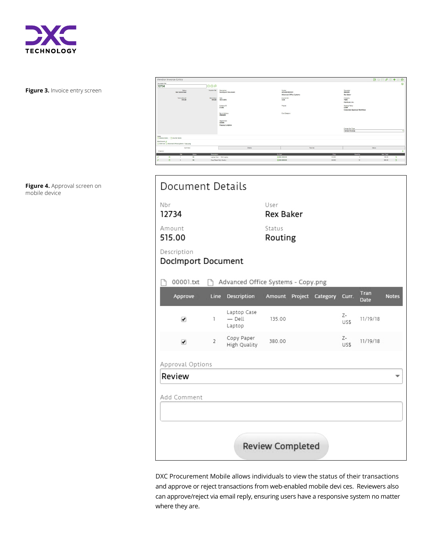

**Figure 3.** Invoice entry screen

**Figure 4.** Approval screen on mobile device

| Vendor Invoice Entry                                             |                                                         |                                                          | <b>日5日クロ+の申</b>                                              |
|------------------------------------------------------------------|---------------------------------------------------------|----------------------------------------------------------|--------------------------------------------------------------|
| Document Nov<br>12734                                            | 000                                                     |                                                          | $\circledcirc$                                               |
| Status<br>Not Submitted                                          | Voudher Mar<br>Description<br><b>Dockmoort Document</b> | Vendar<br>ADVANCED0001<br><b>Advanced Office Systems</b> | <b>DERMINI</b><br><b>Rex Baker</b>                           |
| Total Amount<br>515.00                                           | <b>Rate Value</b><br>Cate<br>10/1/2015<br>515.00        | <b>Invoice have</b><br>1234                              | Company<br>TWO<br>Fabrikam, Inc.                             |
|                                                                  | Currency ID<br>$z$ -uss                                 | Project                                                  | <b>Reuting Policy</b><br>CORP<br>Corporate Approval Workflow |
|                                                                  | <b>Remit Address</b><br><b>PRIMARY</b>                  | Cost Category                                            |                                                              |
|                                                                  | Cepartment<br><b>ADMN</b><br><b>Finance &amp; Admin</b> |                                                          |                                                              |
|                                                                  |                                                         |                                                          | Change Doc Type<br>Vendor Invoices                           |
| Note:<br>C General Notes / C Voucher Notes                       |                                                         |                                                          |                                                              |
| Attachments &<br>O 00001.bd   Advanced Office Systems - Copy.png |                                                         |                                                          |                                                              |
| Summary                                                          | Details                                                 | Routing                                                  | 250012                                                       |
| $2$ (tem(s)<br>Mr.<br>Status                                     | $Q$ , April<br>Description                              | Price                                                    | <b>Rem Total</b><br>Quantity                                 |
| n<br>NS.<br>×<br>$\mathbf{I}$                                    | Laptop Case - Dell Laptop                               | (4) 000-2430-00<br>46.000                                | 135.00<br>$\mathbf{a}$                                       |
| $\blacksquare$<br>NS<br>$\mathbb{R}$                             | Copy Paper High Quality                                 | 42000-2430-00<br>38,000                                  | $\circ$<br>12 <sup>°</sup><br>380.00                         |

| Document Details                  |                |                                    |                          |  |                         |            |                     |              |  |  |
|-----------------------------------|----------------|------------------------------------|--------------------------|--|-------------------------|------------|---------------------|--------------|--|--|
| Nbr<br>12734                      |                |                                    | User<br><b>Rex Baker</b> |  |                         |            |                     |              |  |  |
| Amount<br>515.00                  |                |                                    | Status<br>Routing        |  |                         |            |                     |              |  |  |
| Description<br>DocImport Document |                |                                    |                          |  |                         |            |                     |              |  |  |
| 00001.txt                         |                | Advanced Office Systems - Copy.png |                          |  |                         |            |                     |              |  |  |
| Approve                           | Line           | Description                        |                          |  | Amount Project Category | Curr.      | Tran<br><b>Date</b> | <b>Notes</b> |  |  |
| ✔                                 | 1              | Laptop Case<br>- Dell<br>Laptop    | 135.00                   |  |                         | Z-<br>US\$ | 11/19/18            |              |  |  |
| ✔                                 | $\overline{2}$ | Copy Paper<br>High Quality         | 380.00                   |  |                         | Z-<br>US\$ | 11/19/18            |              |  |  |
| Approval Options                  |                |                                    |                          |  |                         |            |                     |              |  |  |
| Review                            |                |                                    |                          |  |                         |            |                     |              |  |  |
| Add Comment                       |                |                                    |                          |  |                         |            |                     |              |  |  |
|                                   |                |                                    |                          |  |                         |            |                     |              |  |  |
|                                   |                |                                    | <b>Review Completed</b>  |  |                         |            |                     |              |  |  |

DXC Procurement Mobile allows individuals to view the status of their transactions and approve or reject transactions from web-enabled mobile devi ces. Reviewers also can approve/reject via email reply, ensuring users have a responsive system no matter where they are.